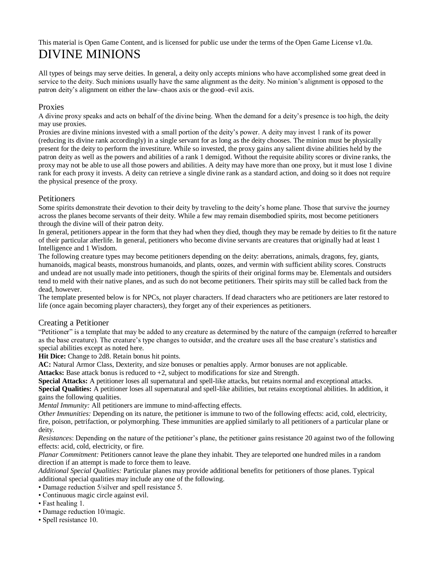# This material is Open Game Content, and is licensed for public use under the terms of the Open Game License v1.0a. DIVINE MINIONS

All types of beings may serve deities. In general, a deity only accepts minions who have accomplished some great deed in service to the deity. Such minions usually have the same alignment as the deity. No minion's alignment is opposed to the patron deity's alignment on either the law–chaos axis or the good–evil axis.

## Proxies

A divine proxy speaks and acts on behalf of the divine being. When the demand for a deity's presence is too high, the deity may use proxies.

Proxies are divine minions invested with a small portion of the deity's power. A deity may invest 1 rank of its power (reducing its divine rank accordingly) in a single servant for as long as the deity chooses. The minion must be physically present for the deity to perform the investiture. While so invested, the proxy gains any salient divine abilities held by the patron deity as well as the powers and abilities of a rank 1 demigod. Without the requisite ability scores or divine ranks, the proxy may not be able to use all those powers and abilities. A deity may have more than one proxy, but it must lose 1 divine rank for each proxy it invests. A deity can retrieve a single divine rank as a standard action, and doing so it does not require the physical presence of the proxy.

### Petitioners

Some spirits demonstrate their devotion to their deity by traveling to the deity's home plane. Those that survive the journey across the planes become servants of their deity. While a few may remain disembodied spirits, most become petitioners through the divine will of their patron deity.

In general, petitioners appear in the form that they had when they died, though they may be remade by deities to fit the nature of their particular afterlife. In general, petitioners who become divine servants are creatures that originally had at least 1 Intelligence and 1 Wisdom.

The following creature types may become petitioners depending on the deity: aberrations, animals, dragons, fey, giants, humanoids, magical beasts, monstrous humanoids, and plants, oozes, and vermin with sufficient ability scores. Constructs and undead are not usually made into petitioners, though the spirits of their original forms may be. Elementals and outsiders tend to meld with their native planes, and as such do not become petitioners. Their spirits may still be called back from the dead, however.

The template presented below is for NPCs, not player characters. If dead characters who are petitioners are later restored to life (once again becoming player characters), they forget any of their experiences as petitioners.

### Creating a Petitioner

"Petitioner" is a template that may be added to any creature as determined by the nature of the campaign (referred to hereafter as the base creature). The creature's type changes to outsider, and the creature uses all the base creature's statistics and special abilities except as noted here.

**Hit Dice:** Change to 2d8. Retain bonus hit points.

**AC:** Natural Armor Class, Dexterity, and size bonuses or penalties apply. Armor bonuses are not applicable.

**Attacks:** Base attack bonus is reduced to +2, subject to modifications for size and Strength.

**Special Attacks:** A petitioner loses all supernatural and spell-like attacks, but retains normal and exceptional attacks. **Special Qualities:** A petitioner loses all supernatural and spell-like abilities, but retains exceptional abilities. In addition, it gains the following qualities.

*Mental Immunity:* All petitioners are immune to mind-affecting effects.

*Other Immunities:* Depending on its nature, the petitioner is immune to two of the following effects: acid, cold, electricity, fire, poison, petrifaction, or polymorphing. These immunities are applied similarly to all petitioners of a particular plane or deity.

*Resistance*s: Depending on the nature of the petitioner's plane, the petitioner gains resistance 20 against two of the following effects: acid, cold, electricity, or fire.

*Planar Commitment:* Petitioners cannot leave the plane they inhabit. They are teleported one hundred miles in a random direction if an attempt is made to force them to leave.

*Additional Special Qualities:* Particular planes may provide additional benefits for petitioners of those planes. Typical additional special qualities may include any one of the following.

- Damage reduction 5/silver and spell resistance 5.
- Continuous magic circle against evil.
- Fast healing 1.

• Damage reduction 10/magic.

• Spell resistance 10.